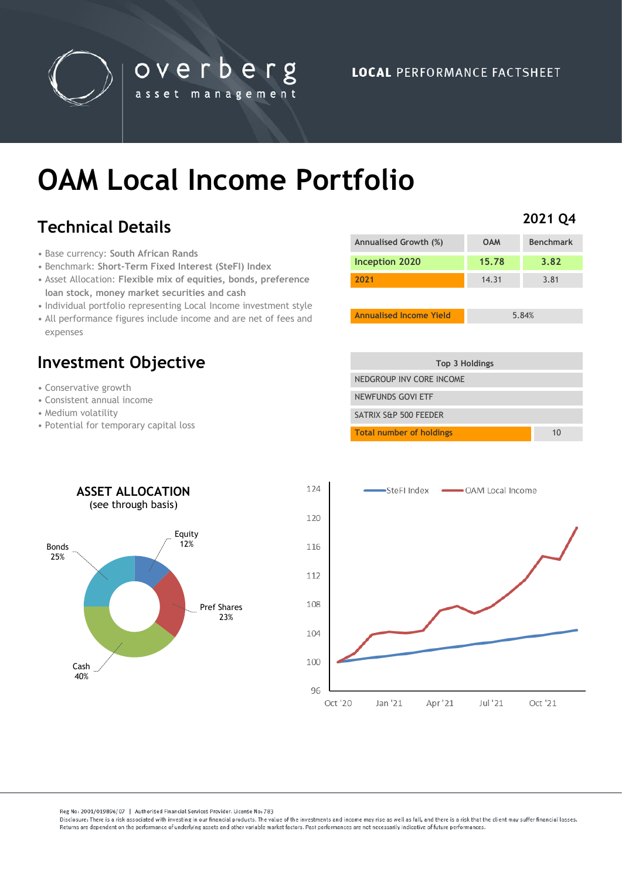

**LOCAL PERFORMANCE FACTSHEET** 

# **OAM Local Income Portfolio**

overberg

asset management

# **Technical Details**

- Base currency: **South African Rands**
- Benchmark: **Short-Term Fixed Interest (SteFI) Index**
- Asset Allocation: **Flexible mix of equities, bonds, preference loan stock, money market securities and cash**
- Individual portfolio representing Local Income investment style
- All performance figures include income and are net of fees and expenses

## **Investment Objective**

- Conservative growth
- Consistent annual income
- Medium volatility
- Potential for temporary capital loss

| <b>Benchmark</b> |
|------------------|
| 3.82             |
| 3.81             |
|                  |
|                  |

**Annualised Income Yield** 5.84%

**2021 Q4**

| Top 3 Holdings                  |    |
|---------------------------------|----|
| NEDGROUP INV CORE INCOME        |    |
| NEWFUNDS GOVI ETF               |    |
| SATRIX S&P 500 FEEDER           |    |
| <b>Total number of holdings</b> | 10 |





Reg No: 2001/019896/07 | Authorised Financial Services Provider. License No: 783

Disclosure: There is a risk associated with investing in our financial products. The value of the investments and income may rise as well as fall, and there is a risk that the client may suffer financial losses Beturns are dependent on the performance of underlying assets and other variable market factors. Past performances are not necessarily indicative of future performances.